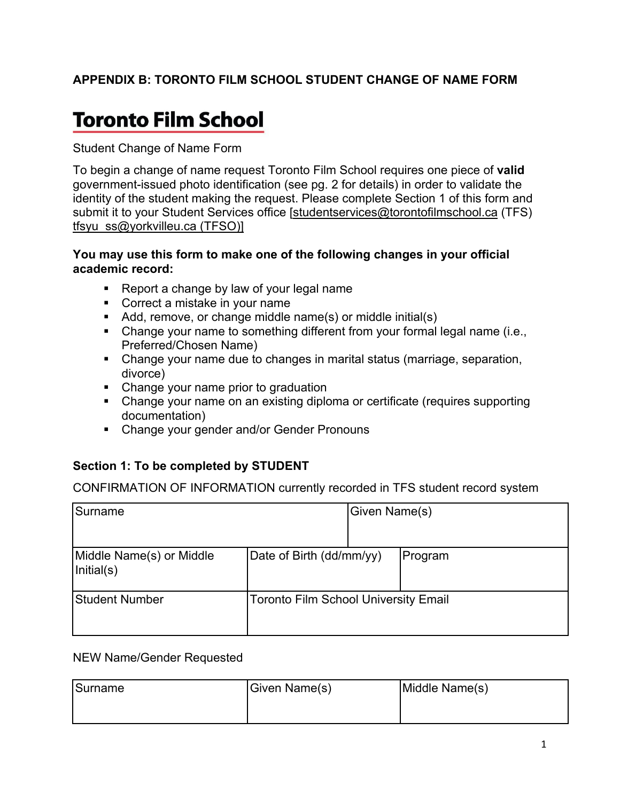# **APPENDIX B: TORONTO FILM SCHOOL STUDENT CHANGE OF NAME FORM**

# **Toronto Film School**

Student Change of Name Form

To begin a change of name request Toronto Film School requires one piece of **valid** government-issued photo identification (see pg. 2 for details) in order to validate the identity of the student making the request. Please complete Section 1 of this form and submit it to your Student Services office [studentservices@torontofilmschool.ca (TFS) tfsyu\_ss@yorkvilleu.ca (TFSO)]

#### **You may use this form to make one of the following changes in your official academic record:**

- Report a change by law of your legal name
- Correct a mistake in your name
- Add, remove, or change middle name(s) or middle initial(s)
- Change your name to something different from your formal legal name (i.e., Preferred/Chosen Name)
- Change your name due to changes in marital status (marriage, separation, divorce)
- Change your name prior to graduation
- Change your name on an existing diploma or certificate (requires supporting documentation)
- Change your gender and/or Gender Pronouns

# **Section 1: To be completed by STUDENT**

CONFIRMATION OF INFORMATION currently recorded in TFS student record system

| Surname                                | Given Name(s)                               |  |         |
|----------------------------------------|---------------------------------------------|--|---------|
| Middle Name(s) or Middle<br>Initial(s) | Date of Birth (dd/mm/yy)                    |  | Program |
| <b>Student Number</b>                  | <b>Toronto Film School University Email</b> |  |         |

#### NEW Name/Gender Requested

| Surname | Given Name(s) | Middle Name(s) |  |
|---------|---------------|----------------|--|
|         |               |                |  |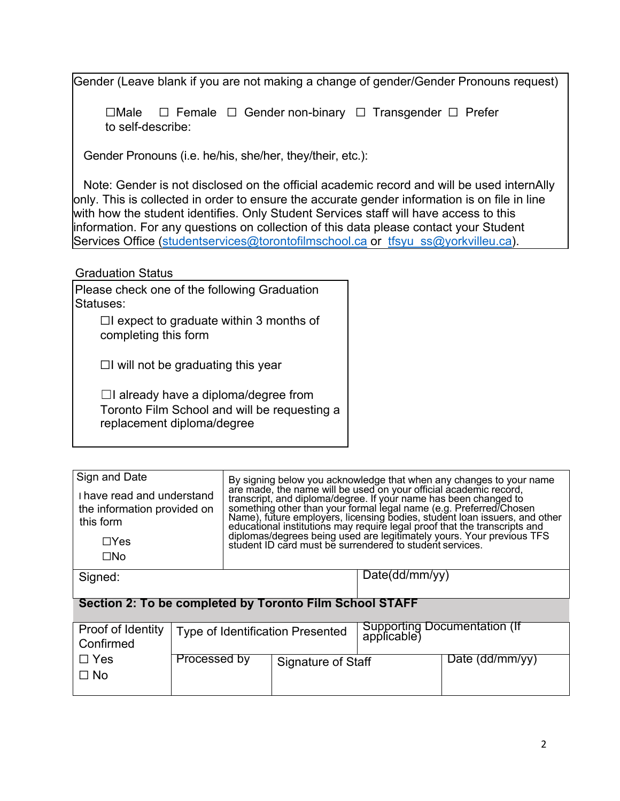Gender (Leave blank if you are not making a change of gender/Gender Pronouns request)

☐Male ☐ Female ☐ Gender non-binary ☐ Transgender ☐ Prefer to self-describe:

Gender Pronouns (i.e. he/his, she/her, they/their, etc.):

 Note: Gender is not disclosed on the official academic record and will be used internAlly only. This is collected in order to ensure the accurate gender information is on file in line with how the student identifies. Only Student Services staff will have access to this information. For any questions on collection of this data please contact your Student Services Office (studentservices@torontofilmschool.ca or tfsyu ss@yorkvilleu.ca).

Graduation Status

Please check one of the following Graduation Statuses:

 $\Box$ I expect to graduate within 3 months of completing this form

 $\Box$ I will not be graduating this year

☐I already have a diploma/degree from Toronto Film School and will be requesting a replacement diploma/degree

| Sign and Date<br>I have read and understand<br>the information provided on<br>this form |              | By signing below you acknowledge that when any changes to your name<br>are made, the name will be used on your official academic record,<br>transcript, and diploma/degree. If your name has been changed to<br>something other than your formal legal name (e.g. Preferred/Chosen<br>Name), future employers, licensing bodies, student loan issuers, and other |               |                                             |                 |  |  |  |
|-----------------------------------------------------------------------------------------|--------------|------------------------------------------------------------------------------------------------------------------------------------------------------------------------------------------------------------------------------------------------------------------------------------------------------------------------------------------------------------------|---------------|---------------------------------------------|-----------------|--|--|--|
| $\Box$ Yes<br>$\square$ No                                                              |              | educational institutions may require legal proof that the transcripts and<br>diplomas/degrees being used are legitimately yours. Your previous TFS<br>student ID card must be surrendered to student services.                                                                                                                                                   |               |                                             |                 |  |  |  |
|                                                                                         |              |                                                                                                                                                                                                                                                                                                                                                                  |               |                                             |                 |  |  |  |
| Signed:                                                                                 |              |                                                                                                                                                                                                                                                                                                                                                                  | Date(ddmm/yy) |                                             |                 |  |  |  |
|                                                                                         |              |                                                                                                                                                                                                                                                                                                                                                                  |               |                                             |                 |  |  |  |
| Section 2: To be completed by Toronto Film School STAFF                                 |              |                                                                                                                                                                                                                                                                                                                                                                  |               |                                             |                 |  |  |  |
| Proof of Identity<br>Confirmed                                                          |              | Type of Identification Presented                                                                                                                                                                                                                                                                                                                                 |               | Supporting Documentation (If<br>applicable) |                 |  |  |  |
| $\Box$ Yes                                                                              | Processed by | Signature of Staff                                                                                                                                                                                                                                                                                                                                               |               |                                             | Date (dd/mm/yy) |  |  |  |
| $\Box$ No                                                                               |              |                                                                                                                                                                                                                                                                                                                                                                  |               |                                             |                 |  |  |  |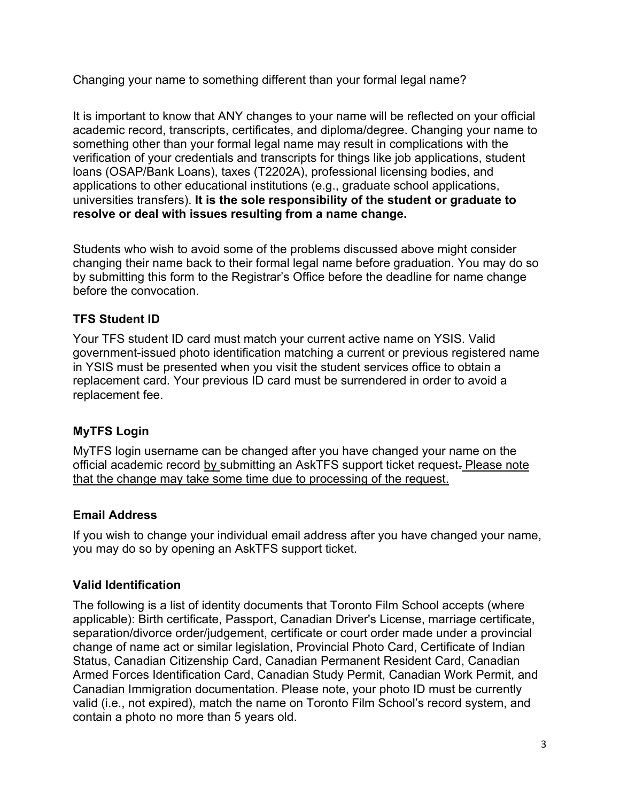Changing your name to something different than your formal legal name?

It is important to know that ANY changes to your name will be reflected on your official academic record, transcripts, certificates, and diploma/degree. Changing your name to something other than your formal legal name may result in complications with the verification of your credentials and transcripts for things like job applications, student loans (OSAP/Bank Loans), taxes (T2202A), professional licensing bodies, and applications to other educational institutions (e.g., graduate school applications, universities transfers). **It is the sole responsibility of the student or graduate to resolve or deal with issues resulting from a name change.**

Students who wish to avoid some of the problems discussed above might consider changing their name back to their formal legal name before graduation. You may do so by submitting this form to the Registrar's Office before the deadline for name change before the convocation.

# **TFS Student ID**

Your TFS student ID card must match your current active name on YSIS. Valid government-issued photo identification matching a current or previous registered name in YSIS must be presented when you visit the student services office to obtain a replacement card. Your previous ID card must be surrendered in order to avoid a replacement fee.

# **MyTFS Login**

MyTFS login username can be changed after you have changed your name on the official academic record by submitting an AskTFS support ticket request. Please note that the change may take some time due to processing of the request.

# **Email Address**

If you wish to change your individual email address after you have changed your name, you may do so by opening an AskTFS support ticket.

# **Valid Identification**

The following is a list of identity documents that Toronto Film School accepts (where applicable): Birth certificate, Passport, Canadian Driver's License, marriage certificate, separation/divorce order/judgement, certificate or court order made under a provincial change of name act or similar legislation, Provincial Photo Card, Certificate of Indian Status, Canadian Citizenship Card, Canadian Permanent Resident Card, Canadian Armed Forces Identification Card, Canadian Study Permit, Canadian Work Permit, and Canadian Immigration documentation. Please note, your photo ID must be currently valid (i.e., not expired), match the name on Toronto Film School's record system, and contain a photo no more than 5 years old.